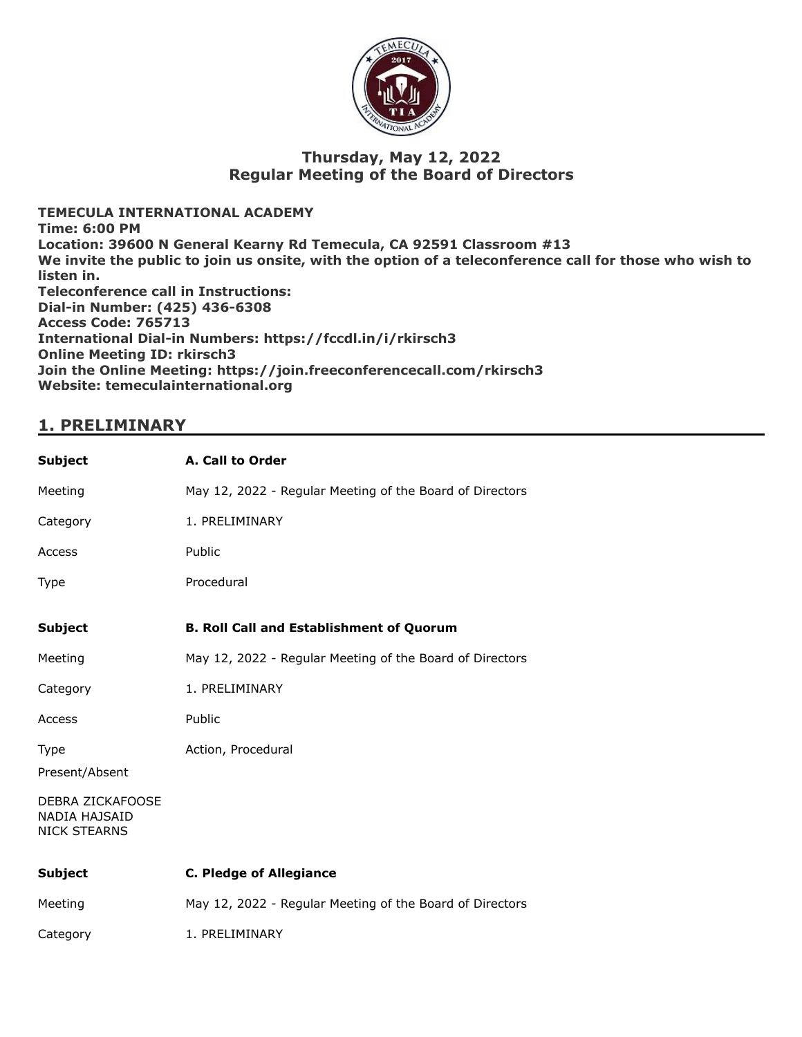

### **Thursday, May 12, 2022 Regular Meeting of the Board of Directors**

**TEMECULA INTERNATIONAL ACADEMY Time: 6:00 PM Location: 39600 N General Kearny Rd Temecula, CA 92591 Classroom #13 We invite the public to join us onsite, with the option of a teleconference call for those who wish to listen in. Teleconference call in Instructions: Dial-in Number: (425) 436-6308 Access Code: 765713 International Dial-in Numbers: https://fccdl.in/i/rkirsch3 Online Meeting ID: rkirsch3 Join the Online Meeting: https://join.freeconferencecall.com/rkirsch3 Website: temeculainternational.org**

### **1. PRELIMINARY**

| A. Call to Order                                         |
|----------------------------------------------------------|
| May 12, 2022 - Regular Meeting of the Board of Directors |
| 1. PRELIMINARY                                           |
| Public                                                   |
| Procedural                                               |
| <b>B. Roll Call and Establishment of Quorum</b>          |
| May 12, 2022 - Regular Meeting of the Board of Directors |
| 1. PRELIMINARY                                           |
| Public                                                   |
| Action, Procedural                                       |
|                                                          |
|                                                          |
| <b>C. Pledge of Allegiance</b>                           |
| May 12, 2022 - Regular Meeting of the Board of Directors |
| 1. PRELIMINARY                                           |
|                                                          |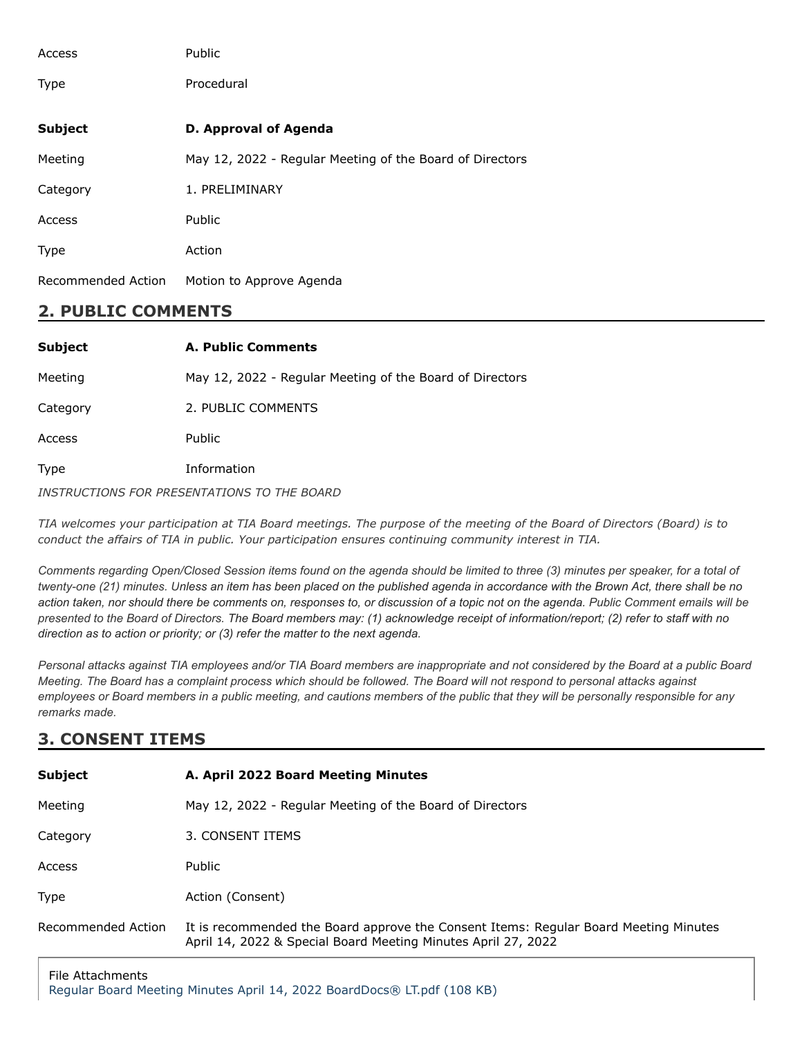| Access             | Public                                                   |
|--------------------|----------------------------------------------------------|
| <b>Type</b>        | Procedural                                               |
| <b>Subject</b>     | <b>D. Approval of Agenda</b>                             |
| Meeting            | May 12, 2022 - Regular Meeting of the Board of Directors |
| Category           | 1. PRELIMINARY                                           |
| Access             | Public                                                   |
| <b>Type</b>        | Action                                                   |
| Recommended Action | Motion to Approve Agenda                                 |

## **2. PUBLIC COMMENTS**

| <b>Subject</b> | <b>A. Public Comments</b>                                |
|----------------|----------------------------------------------------------|
| Meeting        | May 12, 2022 - Regular Meeting of the Board of Directors |
| Category       | 2. PUBLIC COMMENTS                                       |
| Access         | Public                                                   |
| Type           | Information                                              |
|                |                                                          |

*INSTRUCTIONS FOR PRESENTATIONS TO THE BOARD*

TIA welcomes your participation at TIA Board meetings. The purpose of the meeting of the Board of Directors (Board) is to *conduct the affairs of TIA in public. Your participation ensures continuing community interest in TIA.*

*Comments regarding Open/Closed Session items found on the agenda should be limited to three (3) minutes per speaker, for a total of twenty-one (21) minutes. Unless an item has been placed on the published agenda in accordance with the Brown Act, there shall be no action taken, nor should there be comments on, responses to, or discussion of a topic not on the agenda. Public Comment emails will be presented to the Board of Directors. The Board members may: (1) acknowledge receipt of information/report; (2) refer to staff with no direction as to action or priority; or (3) refer the matter to the next agenda.*

*Personal attacks against TIA employees and/or TIA Board members are inappropriate and not considered by the Board at a public Board Meeting. The Board has a complaint process which should be followed. The Board will not respond to personal attacks against employees or Board members in a public meeting, and cautions members of the public that they will be personally responsible for any remarks made.*

## **3. CONSENT ITEMS**

| <b>Subject</b>     | A. April 2022 Board Meeting Minutes                                                                                                                   |
|--------------------|-------------------------------------------------------------------------------------------------------------------------------------------------------|
| Meeting            | May 12, 2022 - Regular Meeting of the Board of Directors                                                                                              |
| Category           | 3. CONSENT ITEMS                                                                                                                                      |
| Access             | <b>Public</b>                                                                                                                                         |
| <b>Type</b>        | Action (Consent)                                                                                                                                      |
| Recommended Action | It is recommended the Board approve the Consent Items: Regular Board Meeting Minutes<br>April 14, 2022 & Special Board Meeting Minutes April 27, 2022 |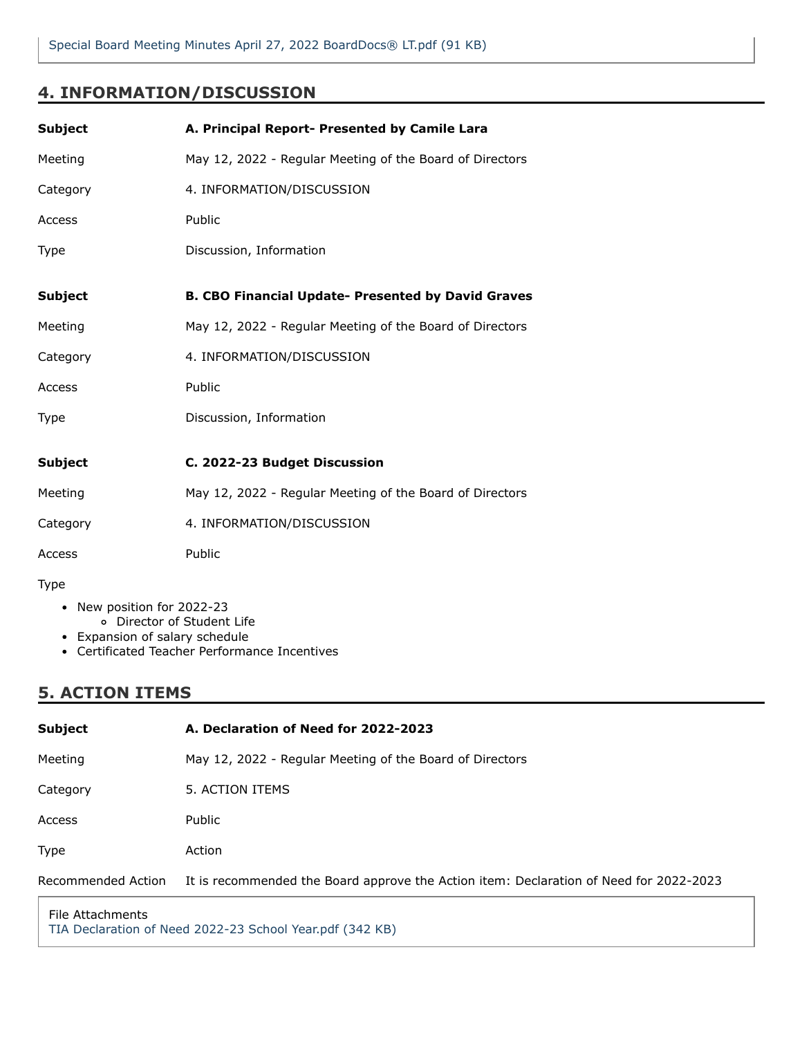## **4. INFORMATION/DISCUSSION**

| <b>Subject</b> | A. Principal Report- Presented by Camile Lara             |
|----------------|-----------------------------------------------------------|
| Meeting        | May 12, 2022 - Regular Meeting of the Board of Directors  |
| Category       | 4. INFORMATION/DISCUSSION                                 |
| Access         | Public                                                    |
| <b>Type</b>    | Discussion, Information                                   |
| <b>Subject</b> | <b>B. CBO Financial Update- Presented by David Graves</b> |
| Meeting        | May 12, 2022 - Regular Meeting of the Board of Directors  |
| Category       | 4. INFORMATION/DISCUSSION                                 |
| Access         | Public                                                    |
| Type           | Discussion, Information                                   |
|                |                                                           |
| <b>Subject</b> | C. 2022-23 Budget Discussion                              |
| Meeting        | May 12, 2022 - Regular Meeting of the Board of Directors  |
| Category       | 4. INFORMATION/DISCUSSION                                 |
| Access         | Public                                                    |
| Type           |                                                           |

- New position for 2022-23
	- Director of Student Life
- Expansion of salary schedule
- Certificated Teacher Performance Incentives

# **5. ACTION ITEMS**

| Subject            | A. Declaration of Need for 2022-2023                                                   |
|--------------------|----------------------------------------------------------------------------------------|
| Meeting            | May 12, 2022 - Regular Meeting of the Board of Directors                               |
| Category           | 5. ACTION ITEMS                                                                        |
| Access             | Public                                                                                 |
| Type               | Action                                                                                 |
| Recommended Action | It is recommended the Board approve the Action item: Declaration of Need for 2022-2023 |
|                    |                                                                                        |

File Attachments [TIA Declaration of Need 2022-23 School Year.pdf \(342 KB\)](https://go.boarddocs.com/ca/tia/Board.nsf/files/CE9RA96D01E7/$file/TIA%20Declaration%20of%20Need%202022-23%20School%20Year.pdf)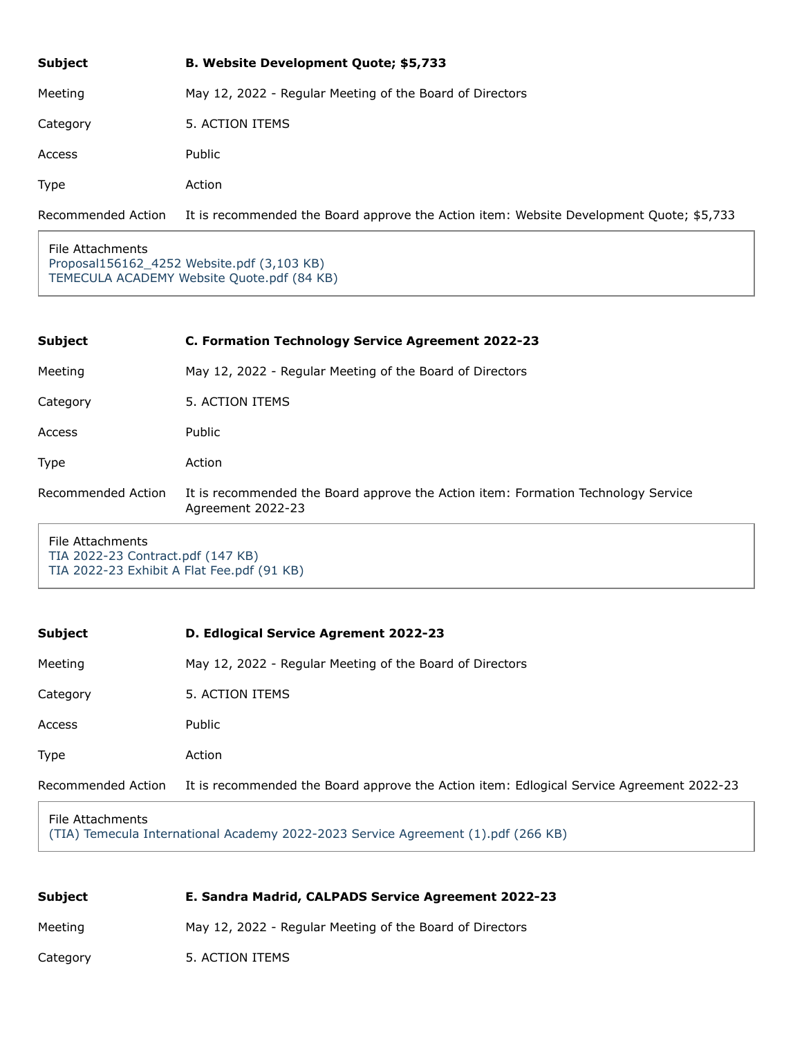| <b>Subject</b>     | <b>B. Website Development Quote; \$5,733</b>                                            |
|--------------------|-----------------------------------------------------------------------------------------|
| Meeting            | May 12, 2022 - Regular Meeting of the Board of Directors                                |
| Category           | 5. ACTION ITEMS                                                                         |
| Access             | Public                                                                                  |
| <b>Type</b>        | Action                                                                                  |
| Recommended Action | It is recommended the Board approve the Action item: Website Development Quote; \$5,733 |

File Attachments [Proposal156162\\_4252 Website.pdf \(3,103 KB\)](https://go.boarddocs.com/ca/tia/Board.nsf/files/CEAJJ74BB7A2/$file/Proposal156162_4252%20Website.pdf) [TEMECULA ACADEMY Website Quote.pdf \(84 KB\)](https://go.boarddocs.com/ca/tia/Board.nsf/files/CEAJJ94BB7B2/$file/TEMECULA%20ACADEMY%20Website%20Quote.pdf)

| <b>Subject</b>     | C. Formation Technology Service Agreement 2022-23                                                      |
|--------------------|--------------------------------------------------------------------------------------------------------|
| Meeting            | May 12, 2022 - Regular Meeting of the Board of Directors                                               |
| Category           | 5. ACTION ITEMS                                                                                        |
| Access             | <b>Public</b>                                                                                          |
| Type               | Action                                                                                                 |
| Recommended Action | It is recommended the Board approve the Action item: Formation Technology Service<br>Agreement 2022-23 |
|                    |                                                                                                        |

File Attachments [TIA 2022-23 Contract.pdf \(147 KB\)](https://go.boarddocs.com/ca/tia/Board.nsf/files/CE9R2E6B15C3/$file/TIA%202022-23%20Contract.pdf) [TIA 2022-23 Exhibit A Flat Fee.pdf \(91 KB\)](https://go.boarddocs.com/ca/tia/Board.nsf/files/CE9R2G6B15D3/$file/TIA%202022-23%20Exhibit%20A%20Flat%20Fee.pdf)

| <b>Subject</b>     | D. Edlogical Service Agrement 2022-23                                                    |
|--------------------|------------------------------------------------------------------------------------------|
| Meeting            | May 12, 2022 - Regular Meeting of the Board of Directors                                 |
| Category           | 5. ACTION ITEMS                                                                          |
| Access             | Public                                                                                   |
| Type               | Action                                                                                   |
| Recommended Action | It is recommended the Board approve the Action item: Edlogical Service Agreement 2022-23 |

#### File Attachments [\(TIA\) Temecula International Academy 2022-2023 Service Agreement \(1\).pdf \(266 KB\)](https://go.boarddocs.com/ca/tia/Board.nsf/files/CE9R3U6B8B29/$file/(TIA)%20Temecula%20International%20Academy%20%202022-2023%20Service%20Agreement%20(1).pdf)

| Subject  | E. Sandra Madrid, CALPADS Service Agreement 2022-23      |
|----------|----------------------------------------------------------|
| Meeting  | May 12, 2022 - Regular Meeting of the Board of Directors |
| Category | 5. ACTION ITEMS                                          |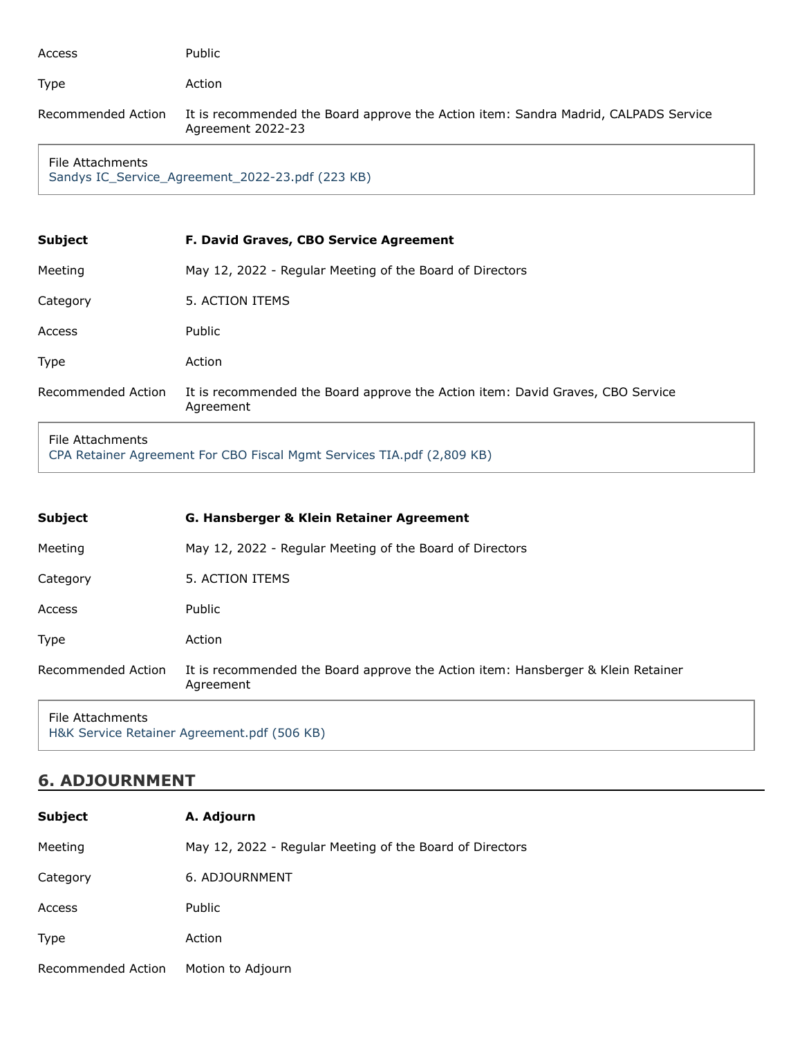| Access                                                               | Public                                                                                                   |  |
|----------------------------------------------------------------------|----------------------------------------------------------------------------------------------------------|--|
| Type                                                                 | Action                                                                                                   |  |
| Recommended Action                                                   | It is recommended the Board approve the Action item: Sandra Madrid, CALPADS Service<br>Agreement 2022-23 |  |
| File Attachments<br>Sandys IC_Service_Agreement_2022-23.pdf (223 KB) |                                                                                                          |  |
| <b>Subject</b>                                                       | F. David Graves, CBO Service Agreement                                                                   |  |
| Meeting                                                              | May 12, 2022 - Regular Meeting of the Board of Directors                                                 |  |
| Category                                                             | 5. ACTION ITEMS                                                                                          |  |
| Access                                                               | Public                                                                                                   |  |
| Type                                                                 | Action                                                                                                   |  |
| Recommended Action                                                   | It is recommended the Board approve the Action item: David Graves, CBO Service<br>Agreement              |  |

File Attachments

[CPA Retainer Agreement For CBO Fiscal Mgmt Services TIA.pdf \(2,809 KB\)](https://go.boarddocs.com/ca/tia/Board.nsf/files/CE9SCP720EFE/$file/CPA%20Retainer%20Agreement%20For%20CBO%20Fiscal%20Mgmt%20Services%20TIA.pdf)

| Subject            | G. Hansberger & Klein Retainer Agreement                                                      |
|--------------------|-----------------------------------------------------------------------------------------------|
| Meeting            | May 12, 2022 - Regular Meeting of the Board of Directors                                      |
| Category           | 5. ACTION ITEMS                                                                               |
| <b>Access</b>      | Public                                                                                        |
| <b>Type</b>        | Action                                                                                        |
| Recommended Action | It is recommended the Board approve the Action item: Hansberger & Klein Retainer<br>Agreement |
| File Attachments   |                                                                                               |

File Attachments [H&K Service Retainer Agreement.pdf \(506 KB\)](https://go.boarddocs.com/ca/tia/Board.nsf/files/CE9R9G6CE3F8/$file/H%26K%20Service%20Retainer%20Agreement.pdf)

# **6. ADJOURNMENT**

| <b>Subject</b>     | A. Adjourn                                               |
|--------------------|----------------------------------------------------------|
| Meeting            | May 12, 2022 - Regular Meeting of the Board of Directors |
| Category           | 6. ADJOURNMENT                                           |
| Access             | Public                                                   |
| Type               | Action                                                   |
| Recommended Action | Motion to Adjourn                                        |